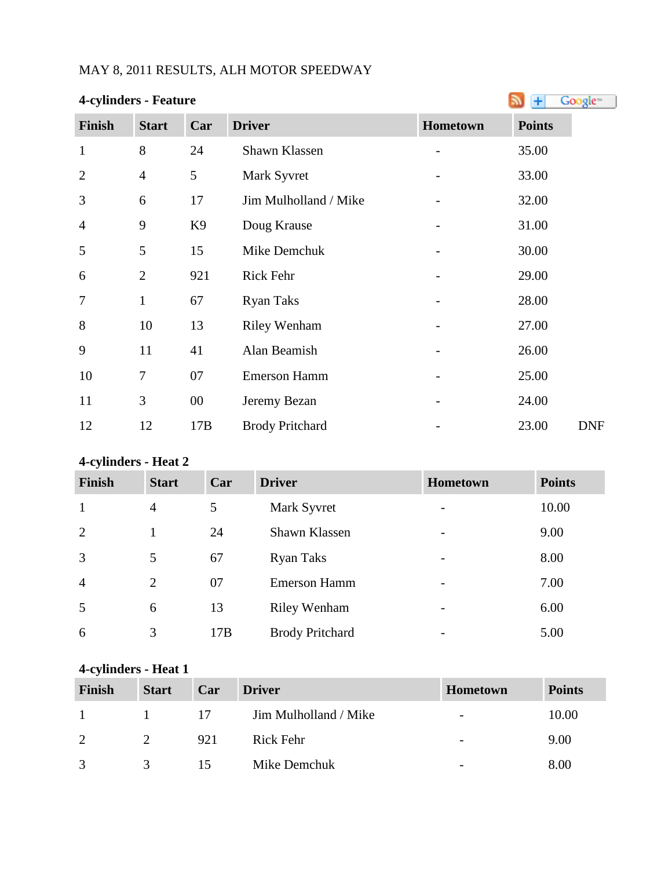## MAY 8, 2011 RESULTS, ALH MOTOR SPEEDWAY

|                | <b>4-cylinders - Feature</b> |                |                        |          |                     |  |  |
|----------------|------------------------------|----------------|------------------------|----------|---------------------|--|--|
| <b>Finish</b>  | <b>Start</b>                 | Car            | <b>Driver</b>          | Hometown | <b>Points</b>       |  |  |
| $\mathbf{1}$   | 8                            | 24             | Shawn Klassen          |          | 35.00               |  |  |
| $\overline{2}$ | $\overline{4}$               | 5              | Mark Syvret            |          | 33.00               |  |  |
| 3              | 6                            | 17             | Jim Mulholland / Mike  |          | 32.00               |  |  |
| $\overline{4}$ | 9                            | K <sub>9</sub> | Doug Krause            |          | 31.00               |  |  |
| 5              | 5                            | 15             | Mike Demchuk           |          | 30.00               |  |  |
| 6              | $\overline{2}$               | 921            | Rick Fehr              |          | 29.00               |  |  |
| 7              | $\mathbf{1}$                 | 67             | <b>Ryan Taks</b>       |          | 28.00               |  |  |
| 8              | 10                           | 13             | <b>Riley Wenham</b>    |          | 27.00               |  |  |
| 9              | 11                           | 41             | Alan Beamish           |          | 26.00               |  |  |
| 10             | 7                            | 07             | <b>Emerson Hamm</b>    |          | 25.00               |  |  |
| 11             | 3                            | $00\,$         | Jeremy Bezan           |          | 24.00               |  |  |
| 12             | 12                           | 17B            | <b>Brody Pritchard</b> |          | 23.00<br><b>DNF</b> |  |  |

## **4-cylinders - Heat 2**

| Finish         | <b>Start</b>   | Car | <b>Driver</b>          | Hometown                 | <b>Points</b> |
|----------------|----------------|-----|------------------------|--------------------------|---------------|
| $\mathbf{1}$   | 4              | 5   | Mark Syvret            |                          | 10.00         |
| 2              |                | 24  | Shawn Klassen          | -                        | 9.00          |
| $\overline{3}$ | 5              | 67  | <b>Ryan Taks</b>       | -                        | 8.00          |
| $\overline{4}$ | $\overline{2}$ | 07  | <b>Emerson Hamm</b>    | $\overline{\phantom{0}}$ | 7.00          |
| 5              | 6              | 13  | <b>Riley Wenham</b>    | -                        | 6.00          |
| 6              | 3              | 17B | <b>Brody Pritchard</b> |                          | 5.00          |

### **4-cylinders - Heat 1**

| <b>Finish</b> | <b>Start</b> | Car | <b>Driver</b>         | Hometown                 | <b>Points</b> |
|---------------|--------------|-----|-----------------------|--------------------------|---------------|
| $\mathbf{1}$  |              | -17 | Jim Mulholland / Mike | $\overline{\phantom{a}}$ | 10.00         |
| $\gamma$      |              | 921 | Rick Fehr             | $\overline{\phantom{0}}$ | 9.00          |
| $\mathcal{R}$ |              | 15  | Mike Demchuk          | $\overline{\phantom{a}}$ | 8.00          |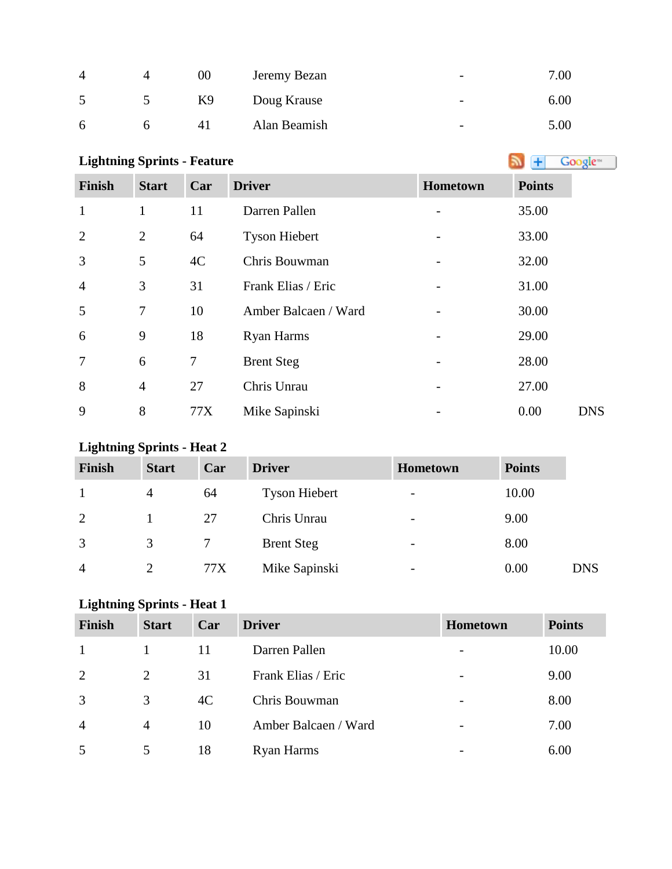|   | 00             | Jeremy Bezan | $\overline{\phantom{0}}$ | 7.00 |
|---|----------------|--------------|--------------------------|------|
|   | K <sub>9</sub> | Doug Krause  | $\overline{\phantom{0}}$ | 6.00 |
| 6 | 4 I            | Alan Beamish | $\overline{\phantom{a}}$ | 5.00 |

# **Lightning Sprints - Feature**

| <b>Finish</b>  | <b>Start</b>   | Car | <b>Driver</b>        | Hometown | <b>Points</b> |
|----------------|----------------|-----|----------------------|----------|---------------|
| $\mathbf{1}$   | 1              | 11  | Darren Pallen        |          | 35.00         |
| $\overline{2}$ | $\overline{2}$ | 64  | <b>Tyson Hiebert</b> |          | 33.00         |
| 3              | 5              | 4C  | Chris Bouwman        |          | 32.00         |
| $\overline{4}$ | 3              | 31  | Frank Elias / Eric   |          | 31.00         |
| 5              | 7              | 10  | Amber Balcaen / Ward |          | 30.00         |
| 6              | 9              | 18  | <b>Ryan Harms</b>    |          | 29.00         |
| $\overline{7}$ | 6              | 7   | <b>Brent Steg</b>    |          | 28.00         |
| 8              | $\overline{4}$ | 27  | Chris Unrau          |          | 27.00         |
| 9              | 8              | 77X | Mike Sapinski        |          | 0.00          |

## **Lightning Sprints - Heat 2**

| <b>Finish</b>  | <b>Start</b>   | Car | <b>Driver</b>        | <b>Hometown</b>          | <b>Points</b> |            |
|----------------|----------------|-----|----------------------|--------------------------|---------------|------------|
|                | 4              | 64  | <b>Tyson Hiebert</b> | $\overline{\phantom{0}}$ | 10.00         |            |
| 2              |                | 27  | Chris Unrau          | $\overline{\phantom{a}}$ | 9.00          |            |
| 3              | 3              |     | <b>Brent Steg</b>    | $\overline{\phantom{a}}$ | 8.00          |            |
| $\overline{A}$ | $\overline{2}$ | 77X | Mike Sapinski        | $\overline{\phantom{0}}$ | 0.00          | <b>DNS</b> |

## **Lightning Sprints - Heat 1**

| <b>Finish</b>  | <b>Start</b>   | Car | <b>Driver</b>        | Hometown                     | <b>Points</b> |
|----------------|----------------|-----|----------------------|------------------------------|---------------|
|                |                | 11  | Darren Pallen        | $\qquad \qquad \blacksquare$ | 10.00         |
| 2              | 2              | 31  | Frank Elias / Eric   | $\overline{\phantom{0}}$     | 9.00          |
| 3              | 3              | 4C  | Chris Bouwman        | $\qquad \qquad \blacksquare$ | 8.00          |
| $\overline{4}$ | $\overline{4}$ | 10  | Amber Balcaen / Ward | $\overline{\phantom{m}}$     | 7.00          |
| 5              | 5              | 18  | <b>Ryan Harms</b>    | -                            | 6.00          |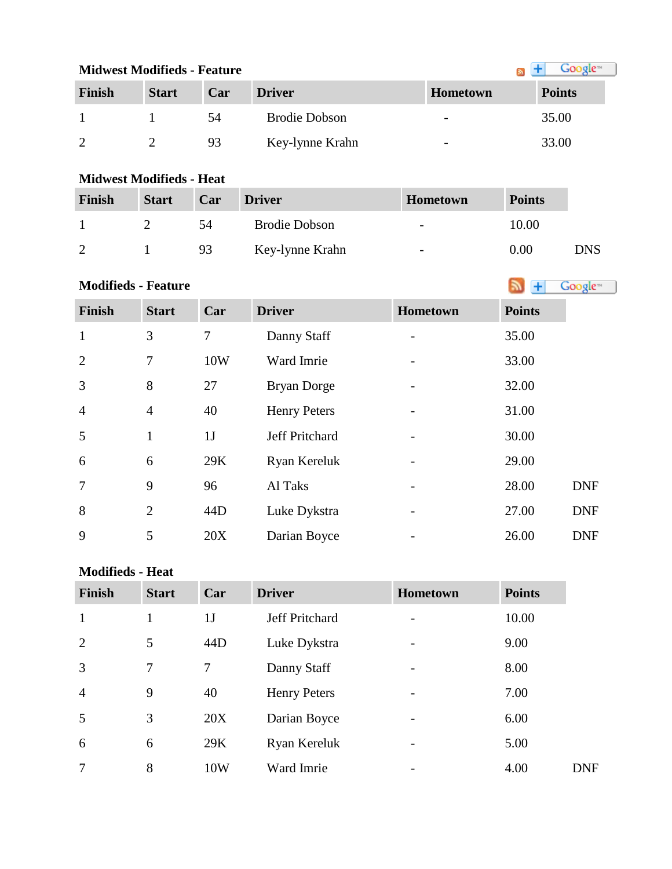| <b>Midwest Modifieds - Feature</b> |              | Google <sup>m</sup> |                      |                          |               |
|------------------------------------|--------------|---------------------|----------------------|--------------------------|---------------|
| Finish                             | <b>Start</b> | Car                 | <b>Driver</b>        | <b>Hometown</b>          | <b>Points</b> |
|                                    |              | 54                  | <b>Brodie Dobson</b> | $\overline{\phantom{0}}$ | 35.00         |
|                                    |              | 93                  | Key-lynne Krahn      | $\overline{\phantom{0}}$ | 33.00         |

#### **Midwest Modifieds - Heat**

| Finish | <b>Start</b> | Car | <b>Driver</b>        | <b>Hometown</b>          | <b>Points</b> |     |
|--------|--------------|-----|----------------------|--------------------------|---------------|-----|
|        |              | 54  | <b>Brodie Dobson</b> | $\overline{\phantom{a}}$ | 10.00         |     |
|        |              | 93  | Key-lynne Krahn      | $\overline{\phantom{a}}$ | 0.00          | DNS |

**Modifieds - Feature** m.

m in

| <b>Finish</b>  | <b>Start</b>   | Car | <b>Driver</b>       | Hometown | <b>Points</b> |            |
|----------------|----------------|-----|---------------------|----------|---------------|------------|
| $\mathbf{1}$   | 3              | 7   | Danny Staff         |          | 35.00         |            |
| 2              | 7              | 10W | Ward Imrie          |          | 33.00         |            |
| 3              | 8              | 27  | Bryan Dorge         |          | 32.00         |            |
| $\overline{4}$ | $\overline{4}$ | 40  | <b>Henry Peters</b> |          | 31.00         |            |
| 5              | $\mathbf{1}$   | 1J  | Jeff Pritchard      |          | 30.00         |            |
| 6              | 6              | 29K | Ryan Kereluk        |          | 29.00         |            |
| $\overline{7}$ | 9              | 96  | Al Taks             |          | 28.00         | <b>DNF</b> |
| 8              | $\overline{2}$ | 44D | Luke Dykstra        |          | 27.00         | <b>DNF</b> |
| 9              | 5              | 20X | Darian Boyce        |          | 26.00         | <b>DNF</b> |

#### **Modifieds - Heat**

| <b>Finish</b>  | <b>Start</b> | Car            | <b>Driver</b>       | <b>Hometown</b> | <b>Points</b> |
|----------------|--------------|----------------|---------------------|-----------------|---------------|
| $\mathbf{1}$   |              | 1 <sub>J</sub> | Jeff Pritchard      |                 | 10.00         |
| $\overline{2}$ | 5            | 44D            | Luke Dykstra        |                 | 9.00          |
| $\overline{3}$ | 7            | $\tau$         | Danny Staff         |                 | 8.00          |
| $\overline{4}$ | 9            | 40             | <b>Henry Peters</b> | -               | 7.00          |
| 5              | 3            | 20X            | Darian Boyce        |                 | 6.00          |
| 6              | 6            | 29K            | Ryan Kereluk        |                 | 5.00          |
| $\overline{7}$ | 8            | 10W            | Ward Imrie          |                 | 4.00          |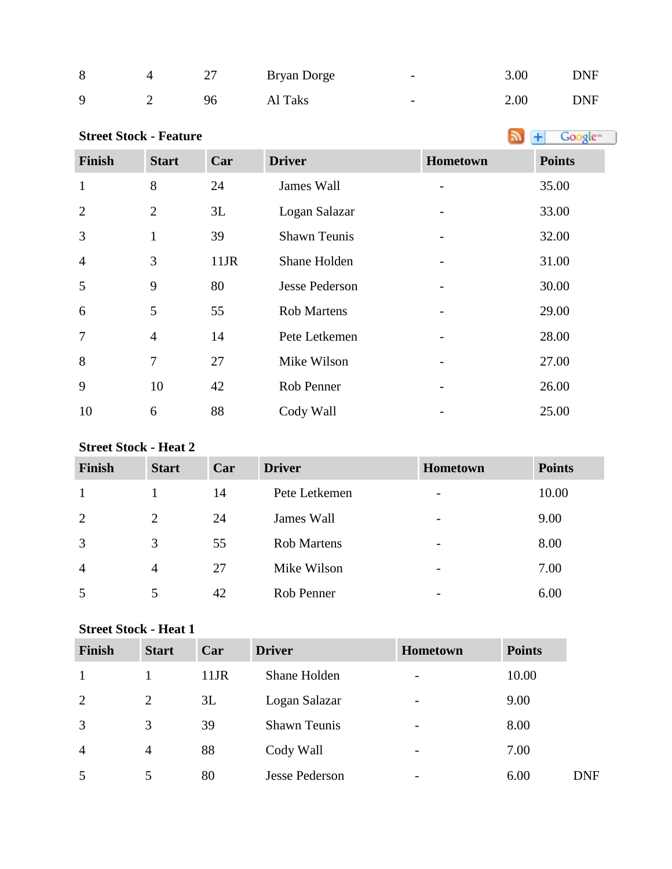| 8           | 27 | Bryan Dorge | $\overline{\phantom{0}}$ | 3.00 | <b>DNF</b> |
|-------------|----|-------------|--------------------------|------|------------|
| $\mathbf Q$ | 96 | Al Taks     | $\overline{\phantom{0}}$ | 2.00 | <b>DNF</b> |

| <b>Street Stock - Feature</b> |                |      |                       |          | Google <sup>®</sup><br>٠ |
|-------------------------------|----------------|------|-----------------------|----------|--------------------------|
| Finish                        | <b>Start</b>   | Car  | <b>Driver</b>         | Hometown | <b>Points</b>            |
| $\mathbf{1}$                  | 8              | 24   | James Wall            |          | 35.00                    |
| $\overline{2}$                | $\overline{2}$ | 3L   | Logan Salazar         |          | 33.00                    |
| 3                             | $\mathbf{1}$   | 39   | <b>Shawn Teunis</b>   |          | 32.00                    |
| $\overline{4}$                | 3              | 11JR | Shane Holden          |          | 31.00                    |
| 5                             | 9              | 80   | <b>Jesse Pederson</b> |          | 30.00                    |
| 6                             | 5              | 55   | <b>Rob Martens</b>    |          | 29.00                    |
| 7                             | $\overline{4}$ | 14   | Pete Letkemen         |          | 28.00                    |
| 8                             | $\tau$         | 27   | Mike Wilson           |          | 27.00                    |
| 9                             | 10             | 42   | Rob Penner            |          | 26.00                    |
| 10                            | 6              | 88   | Cody Wall             |          | 25.00                    |

### **Street Stock - Heat 2**

| Finish         | <b>Start</b>   | Car | <b>Driver</b>      | <b>Hometown</b>          | <b>Points</b> |
|----------------|----------------|-----|--------------------|--------------------------|---------------|
| 1              |                | 14  | Pete Letkemen      | $\overline{\phantom{a}}$ | 10.00         |
| 2              | 2              | 24  | James Wall         | $\overline{\phantom{0}}$ | 9.00          |
| 3              | 3              | 55  | <b>Rob Martens</b> | $\overline{\phantom{a}}$ | 8.00          |
| $\overline{4}$ | $\overline{4}$ | 27  | Mike Wilson        | $\overline{\phantom{0}}$ | 7.00          |
| 5              | 5              | 42  | Rob Penner         | -                        | 6.00          |

#### **Street Stock - Heat 1**

| <b>Finish</b>  | <b>Start</b>   | Car     | <b>Driver</b>         | <b>Hometown</b>          | <b>Points</b> |            |
|----------------|----------------|---------|-----------------------|--------------------------|---------------|------------|
|                |                | $11$ JR | Shane Holden          | $\overline{\phantom{a}}$ | 10.00         |            |
| 2              | $\overline{2}$ | 3L      | Logan Salazar         | $\overline{\phantom{a}}$ | 9.00          |            |
| 3              | 3              | 39      | <b>Shawn Teunis</b>   | $\overline{\phantom{0}}$ | 8.00          |            |
| $\overline{4}$ | $\overline{4}$ | 88      | Cody Wall             | $\overline{\phantom{a}}$ | 7.00          |            |
| 5              | 5              | 80      | <b>Jesse Pederson</b> | $\overline{\phantom{0}}$ | 6.00          | <b>DNF</b> |